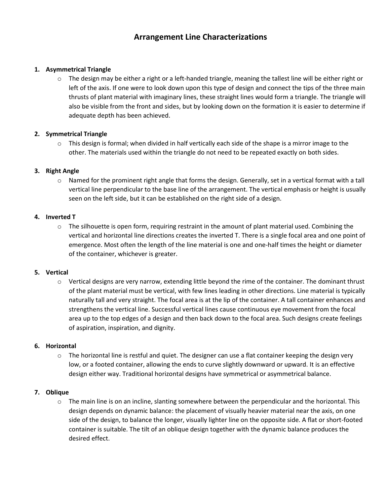# **Arrangement Line Characterizations**

# **1. Asymmetrical Triangle**

 $\circ$  The design may be either a right or a left-handed triangle, meaning the tallest line will be either right or left of the axis. If one were to look down upon this type of design and connect the tips of the three main thrusts of plant material with imaginary lines, these straight lines would form a triangle. The triangle will also be visible from the front and sides, but by looking down on the formation it is easier to determine if adequate depth has been achieved.

# **2. Symmetrical Triangle**

 $\circ$  This design is formal; when divided in half vertically each side of the shape is a mirror image to the other. The materials used within the triangle do not need to be repeated exactly on both sides.

# **3. Right Angle**

 $\circ$  Named for the prominent right angle that forms the design. Generally, set in a vertical format with a tall vertical line perpendicular to the base line of the arrangement. The vertical emphasis or height is usually seen on the left side, but it can be established on the right side of a design.

# **4. Inverted T**

 $\circ$  The silhouette is open form, requiring restraint in the amount of plant material used. Combining the vertical and horizontal line directions creates the inverted T. There is a single focal area and one point of emergence. Most often the length of the line material is one and one-half times the height or diameter of the container, whichever is greater.

#### **5. Vertical**

 $\circ$  Vertical designs are very narrow, extending little beyond the rime of the container. The dominant thrust of the plant material must be vertical, with few lines leading in other directions. Line material is typically naturally tall and very straight. The focal area is at the lip of the container. A tall container enhances and strengthens the vertical line. Successful vertical lines cause continuous eye movement from the focal area up to the top edges of a design and then back down to the focal area. Such designs create feelings of aspiration, inspiration, and dignity.

#### **6. Horizontal**

 $\circ$  The horizontal line is restful and quiet. The designer can use a flat container keeping the design very low, or a footed container, allowing the ends to curve slightly downward or upward. It is an effective design either way. Traditional horizontal designs have symmetrical or asymmetrical balance.

#### **7. Oblique**

 $\circ$  The main line is on an incline, slanting somewhere between the perpendicular and the horizontal. This design depends on dynamic balance: the placement of visually heavier material near the axis, on one side of the design, to balance the longer, visually lighter line on the opposite side. A flat or short-footed container is suitable. The tilt of an oblique design together with the dynamic balance produces the desired effect.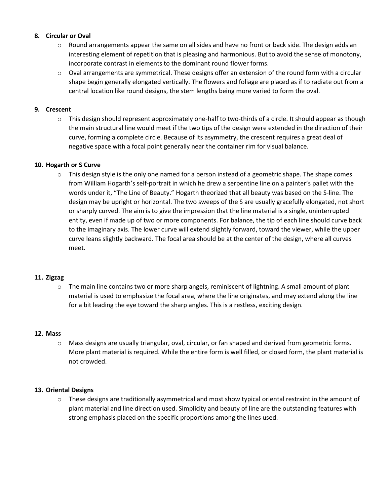## **8. Circular or Oval**

- $\circ$  Round arrangements appear the same on all sides and have no front or back side. The design adds an interesting element of repetition that is pleasing and harmonious. But to avoid the sense of monotony, incorporate contrast in elements to the dominant round flower forms.
- $\circ$  Oval arrangements are symmetrical. These designs offer an extension of the round form with a circular shape begin generally elongated vertically. The flowers and foliage are placed as if to radiate out from a central location like round designs, the stem lengths being more varied to form the oval.

## **9. Crescent**

o This design should represent approximately one-half to two-thirds of a circle. It should appear as though the main structural line would meet if the two tips of the design were extended in the direction of their curve, forming a complete circle. Because of its asymmetry, the crescent requires a great deal of negative space with a focal point generally near the container rim for visual balance.

#### **10. Hogarth or S Curve**

 $\circ$  This design style is the only one named for a person instead of a geometric shape. The shape comes from William Hogarth's self-portrait in which he drew a serpentine line on a painter's pallet with the words under it, "The Line of Beauty." Hogarth theorized that all beauty was based on the S-line. The design may be upright or horizontal. The two sweeps of the S are usually gracefully elongated, not short or sharply curved. The aim is to give the impression that the line material is a single, uninterrupted entity, even if made up of two or more components. For balance, the tip of each line should curve back to the imaginary axis. The lower curve will extend slightly forward, toward the viewer, while the upper curve leans slightly backward. The focal area should be at the center of the design, where all curves meet.

#### **11. Zigzag**

 $\circ$  The main line contains two or more sharp angels, reminiscent of lightning. A small amount of plant material is used to emphasize the focal area, where the line originates, and may extend along the line for a bit leading the eye toward the sharp angles. This is a restless, exciting design.

#### **12. Mass**

 $\circ$  Mass designs are usually triangular, oval, circular, or fan shaped and derived from geometric forms. More plant material is required. While the entire form is well filled, or closed form, the plant material is not crowded.

#### **13. Oriental Designs**

 $\circ$  These designs are traditionally asymmetrical and most show typical oriental restraint in the amount of plant material and line direction used. Simplicity and beauty of line are the outstanding features with strong emphasis placed on the specific proportions among the lines used.